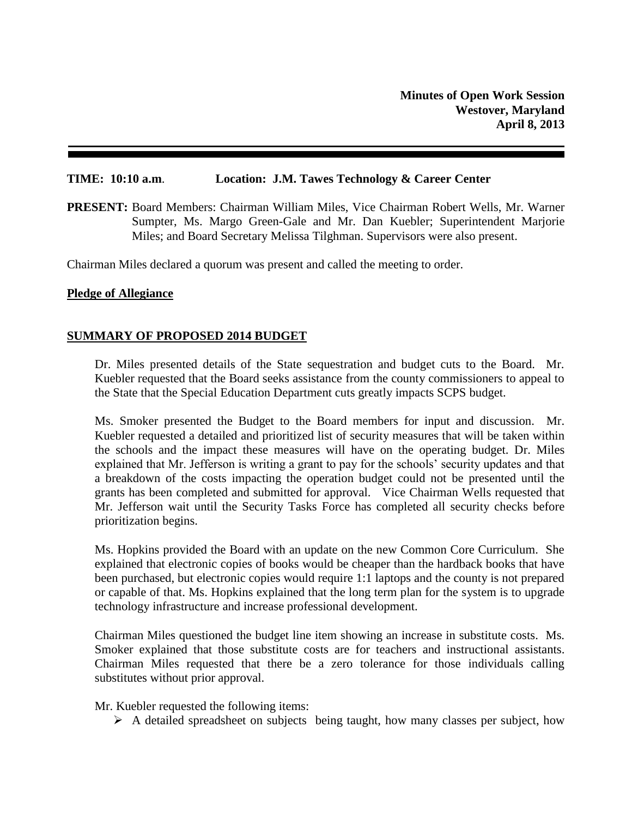### **TIME: 10:10 a.m**. **Location: J.M. Tawes Technology & Career Center**

**PRESENT:** Board Members: Chairman William Miles, Vice Chairman Robert Wells, Mr. Warner Sumpter, Ms. Margo Green-Gale and Mr. Dan Kuebler; Superintendent Marjorie Miles; and Board Secretary Melissa Tilghman. Supervisors were also present.

Chairman Miles declared a quorum was present and called the meeting to order.

### **Pledge of Allegiance**

# **SUMMARY OF PROPOSED 2014 BUDGET**

Dr. Miles presented details of the State sequestration and budget cuts to the Board. Mr. Kuebler requested that the Board seeks assistance from the county commissioners to appeal to the State that the Special Education Department cuts greatly impacts SCPS budget.

Ms. Smoker presented the Budget to the Board members for input and discussion. Mr. Kuebler requested a detailed and prioritized list of security measures that will be taken within the schools and the impact these measures will have on the operating budget. Dr. Miles explained that Mr. Jefferson is writing a grant to pay for the schools' security updates and that a breakdown of the costs impacting the operation budget could not be presented until the grants has been completed and submitted for approval. Vice Chairman Wells requested that Mr. Jefferson wait until the Security Tasks Force has completed all security checks before prioritization begins.

Ms. Hopkins provided the Board with an update on the new Common Core Curriculum. She explained that electronic copies of books would be cheaper than the hardback books that have been purchased, but electronic copies would require 1:1 laptops and the county is not prepared or capable of that. Ms. Hopkins explained that the long term plan for the system is to upgrade technology infrastructure and increase professional development.

Chairman Miles questioned the budget line item showing an increase in substitute costs. Ms. Smoker explained that those substitute costs are for teachers and instructional assistants. Chairman Miles requested that there be a zero tolerance for those individuals calling substitutes without prior approval.

Mr. Kuebler requested the following items:

 $\triangleright$  A detailed spreadsheet on subjects being taught, how many classes per subject, how